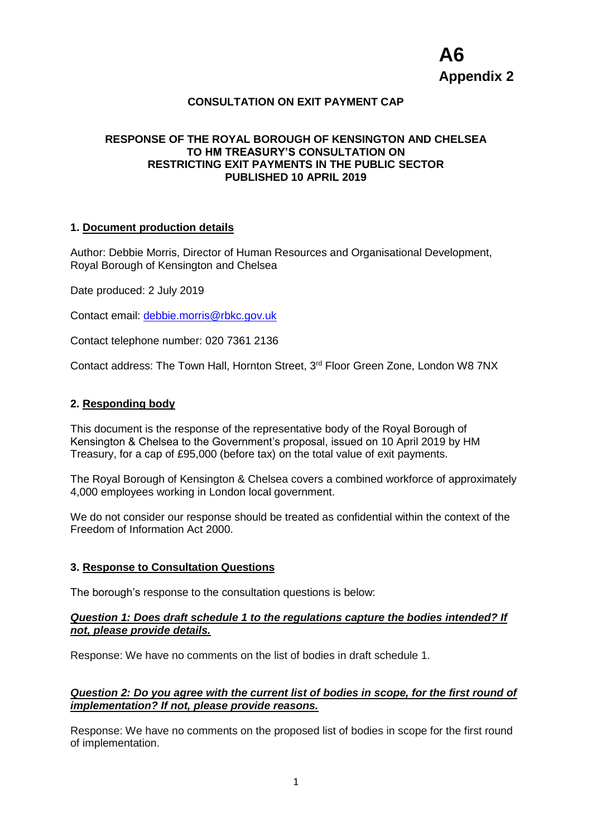# **CONSULTATION ON EXIT PAYMENT CAP**

## **RESPONSE OF THE ROYAL BOROUGH OF KENSINGTON AND CHELSEA TO HM TREASURY'S CONSULTATION ON RESTRICTING EXIT PAYMENTS IN THE PUBLIC SECTOR PUBLISHED 10 APRIL 2019**

### **1. Document production details**

Author: Debbie Morris, Director of Human Resources and Organisational Development, Royal Borough of Kensington and Chelsea

Date produced: 2 July 2019

Contact email: [debbie.morris@rbkc.gov.uk](mailto:debbie.morris@rbkc.gov.uk)

Contact telephone number: 020 7361 2136

Contact address: The Town Hall, Hornton Street, 3rd Floor Green Zone, London W8 7NX

### **2. Responding body**

This document is the response of the representative body of the Royal Borough of Kensington & Chelsea to the Government's proposal, issued on 10 April 2019 by HM Treasury, for a cap of £95,000 (before tax) on the total value of exit payments.

The Royal Borough of Kensington & Chelsea covers a combined workforce of approximately 4,000 employees working in London local government.

We do not consider our response should be treated as confidential within the context of the Freedom of Information Act 2000.

#### **3. Response to Consultation Questions**

The borough's response to the consultation questions is below:

#### *Question 1: Does draft schedule 1 to the regulations capture the bodies intended? If not, please provide details.*

Response: We have no comments on the list of bodies in draft schedule 1.

## *Question 2: Do you agree with the current list of bodies in scope, for the first round of implementation? If not, please provide reasons.*

Response: We have no comments on the proposed list of bodies in scope for the first round of implementation.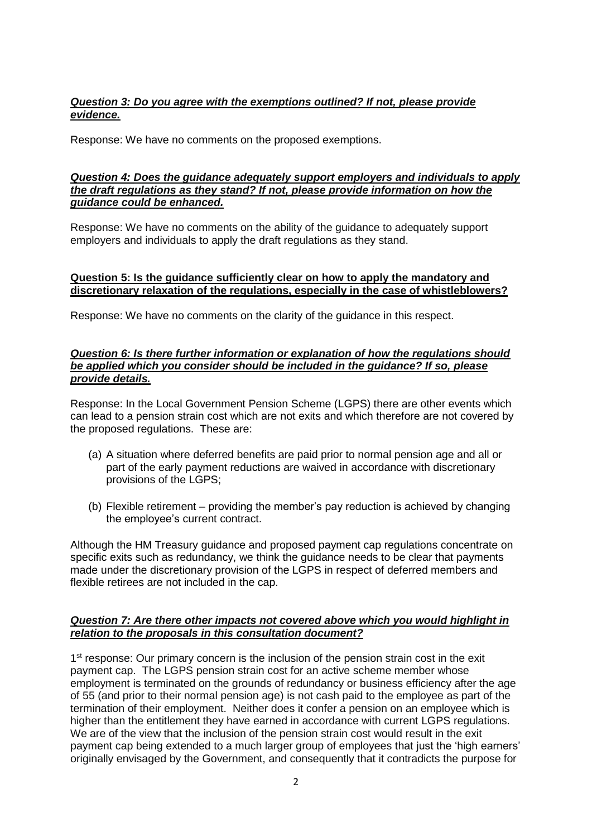# *Question 3: Do you agree with the exemptions outlined? If not, please provide evidence.*

Response: We have no comments on the proposed exemptions.

## *Question 4: Does the guidance adequately support employers and individuals to apply the draft regulations as they stand? If not, please provide information on how the guidance could be enhanced.*

Response: We have no comments on the ability of the guidance to adequately support employers and individuals to apply the draft regulations as they stand.

## **Question 5: Is the guidance sufficiently clear on how to apply the mandatory and discretionary relaxation of the regulations, especially in the case of whistleblowers?**

Response: We have no comments on the clarity of the guidance in this respect.

### *Question 6: Is there further information or explanation of how the regulations should be applied which you consider should be included in the guidance? If so, please provide details.*

Response: In the Local Government Pension Scheme (LGPS) there are other events which can lead to a pension strain cost which are not exits and which therefore are not covered by the proposed regulations. These are:

- (a) A situation where deferred benefits are paid prior to normal pension age and all or part of the early payment reductions are waived in accordance with discretionary provisions of the LGPS;
- (b) Flexible retirement providing the member's pay reduction is achieved by changing the employee's current contract.

Although the HM Treasury guidance and proposed payment cap regulations concentrate on specific exits such as redundancy, we think the guidance needs to be clear that payments made under the discretionary provision of the LGPS in respect of deferred members and flexible retirees are not included in the cap.

## *Question 7: Are there other impacts not covered above which you would highlight in relation to the proposals in this consultation document?*

1<sup>st</sup> response: Our primary concern is the inclusion of the pension strain cost in the exit payment cap. The LGPS pension strain cost for an active scheme member whose employment is terminated on the grounds of redundancy or business efficiency after the age of 55 (and prior to their normal pension age) is not cash paid to the employee as part of the termination of their employment. Neither does it confer a pension on an employee which is higher than the entitlement they have earned in accordance with current LGPS regulations. We are of the view that the inclusion of the pension strain cost would result in the exit payment cap being extended to a much larger group of employees that just the 'high earners' originally envisaged by the Government, and consequently that it contradicts the purpose for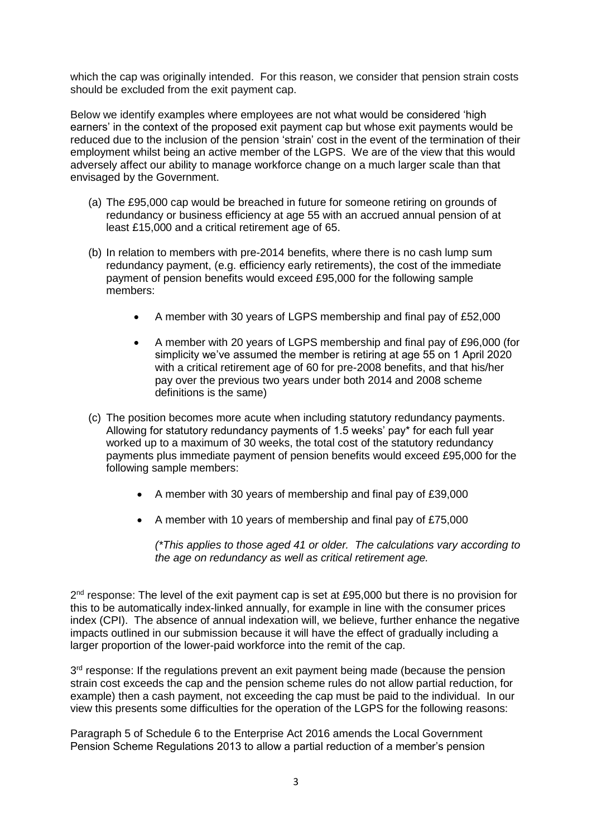which the cap was originally intended. For this reason, we consider that pension strain costs should be excluded from the exit payment cap.

Below we identify examples where employees are not what would be considered 'high earners' in the context of the proposed exit payment cap but whose exit payments would be reduced due to the inclusion of the pension 'strain' cost in the event of the termination of their employment whilst being an active member of the LGPS. We are of the view that this would adversely affect our ability to manage workforce change on a much larger scale than that envisaged by the Government.

- (a) The £95,000 cap would be breached in future for someone retiring on grounds of redundancy or business efficiency at age 55 with an accrued annual pension of at least £15,000 and a critical retirement age of 65.
- (b) In relation to members with pre-2014 benefits, where there is no cash lump sum redundancy payment, (e.g. efficiency early retirements), the cost of the immediate payment of pension benefits would exceed £95,000 for the following sample members:
	- A member with 30 years of LGPS membership and final pay of £52,000
	- A member with 20 years of LGPS membership and final pay of £96,000 (for simplicity we've assumed the member is retiring at age 55 on 1 April 2020 with a critical retirement age of 60 for pre-2008 benefits, and that his/her pay over the previous two years under both 2014 and 2008 scheme definitions is the same)
- (c) The position becomes more acute when including statutory redundancy payments. Allowing for statutory redundancy payments of 1.5 weeks' pay\* for each full year worked up to a maximum of 30 weeks, the total cost of the statutory redundancy payments plus immediate payment of pension benefits would exceed £95,000 for the following sample members:
	- A member with 30 years of membership and final pay of £39,000
	- A member with 10 years of membership and final pay of £75,000

*(\*This applies to those aged 41 or older. The calculations vary according to the age on redundancy as well as critical retirement age.*

2<sup>nd</sup> response: The level of the exit payment cap is set at £95,000 but there is no provision for this to be automatically index-linked annually, for example in line with the consumer prices index (CPI). The absence of annual indexation will, we believe, further enhance the negative impacts outlined in our submission because it will have the effect of gradually including a larger proportion of the lower-paid workforce into the remit of the cap.

3<sup>rd</sup> response: If the regulations prevent an exit payment being made (because the pension strain cost exceeds the cap and the pension scheme rules do not allow partial reduction, for example) then a cash payment, not exceeding the cap must be paid to the individual. In our view this presents some difficulties for the operation of the LGPS for the following reasons:

Paragraph 5 of Schedule 6 to the Enterprise Act 2016 amends the Local Government Pension Scheme Regulations 2013 to allow a partial reduction of a member's pension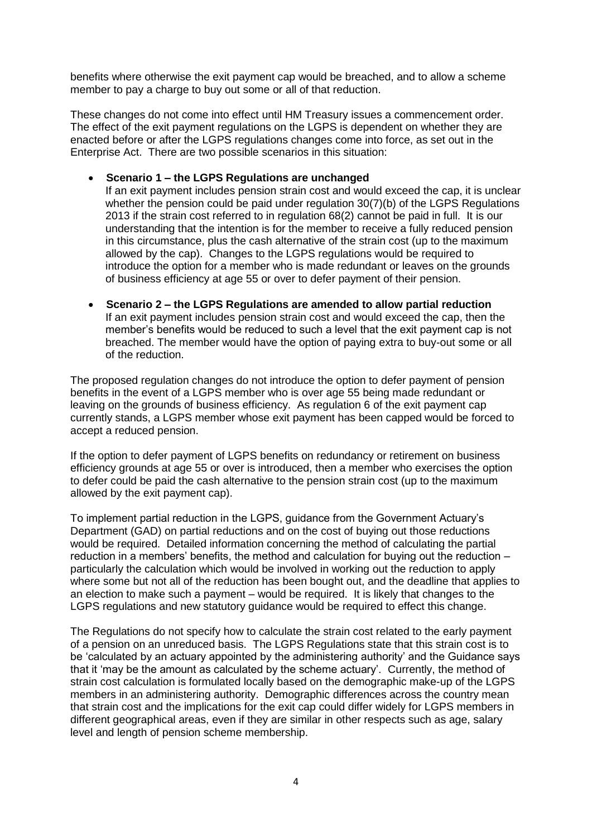benefits where otherwise the exit payment cap would be breached, and to allow a scheme member to pay a charge to buy out some or all of that reduction.

These changes do not come into effect until HM Treasury issues a commencement order. The effect of the exit payment regulations on the LGPS is dependent on whether they are enacted before or after the LGPS regulations changes come into force, as set out in the Enterprise Act. There are two possible scenarios in this situation:

# **Scenario 1 – the LGPS Regulations are unchanged**

If an exit payment includes pension strain cost and would exceed the cap, it is unclear whether the pension could be paid under regulation 30(7)(b) of the LGPS Regulations 2013 if the strain cost referred to in regulation 68(2) cannot be paid in full. It is our understanding that the intention is for the member to receive a fully reduced pension in this circumstance, plus the cash alternative of the strain cost (up to the maximum allowed by the cap). Changes to the LGPS regulations would be required to introduce the option for a member who is made redundant or leaves on the grounds of business efficiency at age 55 or over to defer payment of their pension.

 **Scenario 2 – the LGPS Regulations are amended to allow partial reduction**  If an exit payment includes pension strain cost and would exceed the cap, then the member's benefits would be reduced to such a level that the exit payment cap is not breached. The member would have the option of paying extra to buy-out some or all of the reduction.

The proposed regulation changes do not introduce the option to defer payment of pension benefits in the event of a LGPS member who is over age 55 being made redundant or leaving on the grounds of business efficiency. As regulation 6 of the exit payment cap currently stands, a LGPS member whose exit payment has been capped would be forced to accept a reduced pension.

If the option to defer payment of LGPS benefits on redundancy or retirement on business efficiency grounds at age 55 or over is introduced, then a member who exercises the option to defer could be paid the cash alternative to the pension strain cost (up to the maximum allowed by the exit payment cap).

To implement partial reduction in the LGPS, guidance from the Government Actuary's Department (GAD) on partial reductions and on the cost of buying out those reductions would be required. Detailed information concerning the method of calculating the partial reduction in a members' benefits, the method and calculation for buying out the reduction – particularly the calculation which would be involved in working out the reduction to apply where some but not all of the reduction has been bought out, and the deadline that applies to an election to make such a payment – would be required. It is likely that changes to the LGPS regulations and new statutory guidance would be required to effect this change.

The Regulations do not specify how to calculate the strain cost related to the early payment of a pension on an unreduced basis. The LGPS Regulations state that this strain cost is to be 'calculated by an actuary appointed by the administering authority' and the Guidance says that it 'may be the amount as calculated by the scheme actuary'. Currently, the method of strain cost calculation is formulated locally based on the demographic make-up of the LGPS members in an administering authority. Demographic differences across the country mean that strain cost and the implications for the exit cap could differ widely for LGPS members in different geographical areas, even if they are similar in other respects such as age, salary level and length of pension scheme membership.